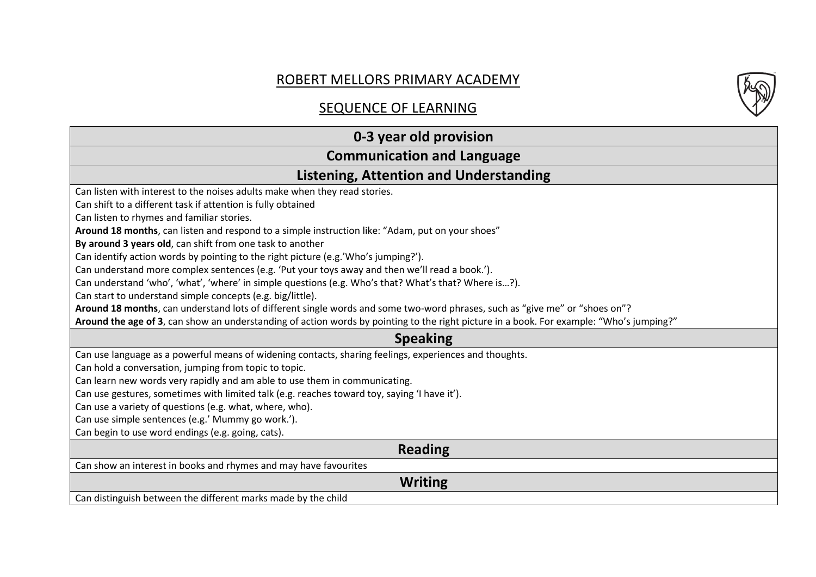# ROBERT MELLORS PRIMARY ACADEMY

# SEQUENCE OF LEARNING

# **0-3 year old provision**

## **Communication and Language**

### **Listening, Attention and Understanding**

Can listen with interest to the noises adults make when they read stories.

Can shift to a different task if attention is fully obtained

Can listen to rhymes and familiar stories.

**Around 18 months**, can listen and respond to a simple instruction like: "Adam, put on your shoes"

**By around 3 years old**, can shift from one task to another

Can identify action words by pointing to the right picture (e.g.'Who's jumping?').

Can understand more complex sentences (e.g. 'Put your toys away and then we'll read a book.').

Can understand 'who', 'what', 'where' in simple questions (e.g. Who's that? What's that? Where is…?).

Can start to understand simple concepts (e.g. big/little).

**Around 18 months**, can understand lots of different single words and some two-word phrases, such as "give me" or "shoes on"?

**Around the age of 3**, can show an understanding of action words by pointing to the right picture in a book. For example: "Who's jumping?"

#### **Speaking**

Can use language as a powerful means of widening contacts, sharing feelings, experiences and thoughts.

Can hold a conversation, jumping from topic to topic.

Can learn new words very rapidly and am able to use them in communicating.

Can use gestures, sometimes with limited talk (e.g. reaches toward toy, saying 'I have it').

Can use a variety of questions (e.g. what, where, who).

Can use simple sentences (e.g.' Mummy go work.').

Can begin to use word endings (e.g. going, cats).

### **Reading**

Can show an interest in books and rhymes and may have favourites

**Writing**

Can distinguish between the different marks made by the child

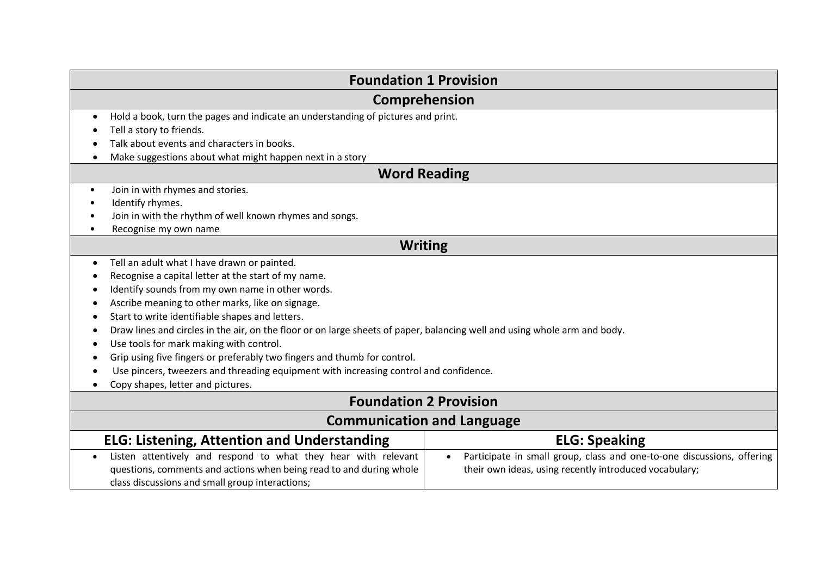| <b>Foundation 1 Provision</b>                                                                                                           |                                                                                     |  |
|-----------------------------------------------------------------------------------------------------------------------------------------|-------------------------------------------------------------------------------------|--|
| Comprehension                                                                                                                           |                                                                                     |  |
| Hold a book, turn the pages and indicate an understanding of pictures and print.<br>$\bullet$                                           |                                                                                     |  |
| Tell a story to friends.                                                                                                                |                                                                                     |  |
| Talk about events and characters in books.                                                                                              |                                                                                     |  |
| Make suggestions about what might happen next in a story                                                                                |                                                                                     |  |
| <b>Word Reading</b>                                                                                                                     |                                                                                     |  |
| Join in with rhymes and stories.<br>$\bullet$                                                                                           |                                                                                     |  |
| Identify rhymes.                                                                                                                        |                                                                                     |  |
| Join in with the rhythm of well known rhymes and songs.                                                                                 |                                                                                     |  |
| Recognise my own name<br>٠                                                                                                              |                                                                                     |  |
| <b>Writing</b>                                                                                                                          |                                                                                     |  |
| Tell an adult what I have drawn or painted.<br>٠                                                                                        |                                                                                     |  |
| Recognise a capital letter at the start of my name.                                                                                     |                                                                                     |  |
| Identify sounds from my own name in other words.                                                                                        |                                                                                     |  |
| Ascribe meaning to other marks, like on signage.                                                                                        |                                                                                     |  |
| Start to write identifiable shapes and letters.<br>$\bullet$                                                                            |                                                                                     |  |
| Draw lines and circles in the air, on the floor or on large sheets of paper, balancing well and using whole arm and body.<br>$\epsilon$ |                                                                                     |  |
| Use tools for mark making with control.                                                                                                 |                                                                                     |  |
| Grip using five fingers or preferably two fingers and thumb for control.                                                                |                                                                                     |  |
| Use pincers, tweezers and threading equipment with increasing control and confidence.                                                   |                                                                                     |  |
| Copy shapes, letter and pictures.                                                                                                       |                                                                                     |  |
| <b>Foundation 2 Provision</b>                                                                                                           |                                                                                     |  |
| <b>Communication and Language</b>                                                                                                       |                                                                                     |  |
| <b>ELG: Listening, Attention and Understanding</b>                                                                                      | <b>ELG: Speaking</b>                                                                |  |
| Listen attentively and respond to what they hear with relevant<br>$\bullet$                                                             | Participate in small group, class and one-to-one discussions, offering<br>$\bullet$ |  |
| questions, comments and actions when being read to and during whole                                                                     | their own ideas, using recently introduced vocabulary;                              |  |
| class discussions and small group interactions;                                                                                         |                                                                                     |  |